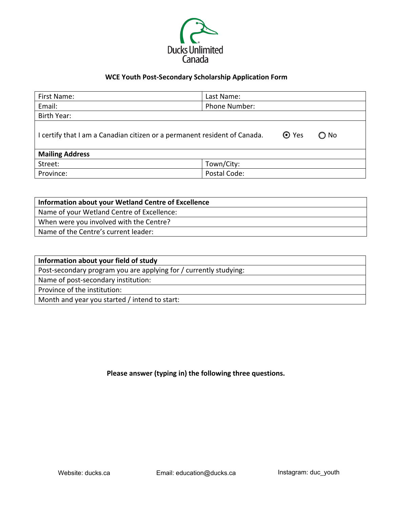

## **WCE Youth Post-Secondary Scholarship Application Form**

| First Name:                                                                                                | Last Name:    |
|------------------------------------------------------------------------------------------------------------|---------------|
| Email:                                                                                                     | Phone Number: |
| Birth Year:                                                                                                |               |
| <b>⊙</b> Yes<br>I certify that I am a Canadian citizen or a permanent resident of Canada.<br>$\bigcirc$ No |               |
| <b>Mailing Address</b>                                                                                     |               |
| Street:                                                                                                    | Town/City:    |
| Province:                                                                                                  | Postal Code:  |

| Information about your Wetland Centre of Excellence |
|-----------------------------------------------------|
| Name of your Wetland Centre of Excellence:          |
| When were you involved with the Centre?             |
| Name of the Centre's current leader:                |

## **Please answer (typing in) the following three questions.**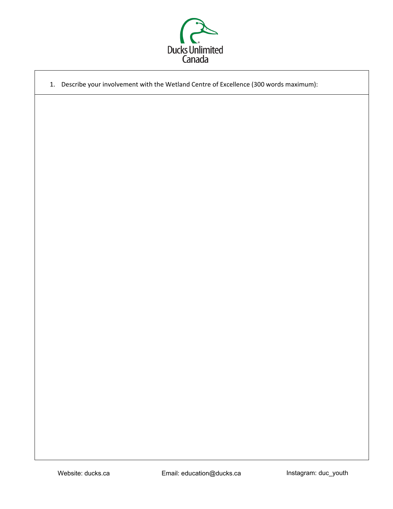

|  | 1. Describe your involvement with the Wetland Centre of Excellence (300 words maximum): |
|--|-----------------------------------------------------------------------------------------|
|  |                                                                                         |
|  |                                                                                         |
|  |                                                                                         |
|  |                                                                                         |
|  |                                                                                         |
|  |                                                                                         |
|  |                                                                                         |
|  |                                                                                         |
|  |                                                                                         |
|  |                                                                                         |
|  |                                                                                         |
|  |                                                                                         |
|  |                                                                                         |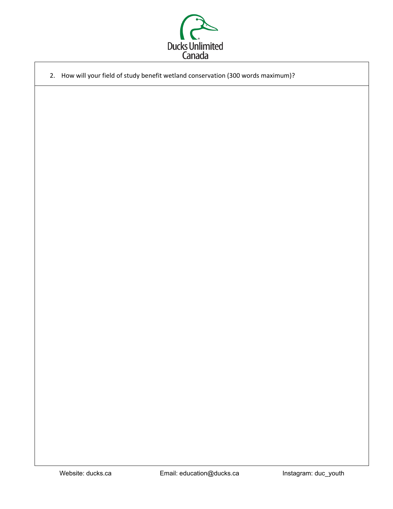

2. How will your field of study benefit wetland conservation (300 words maximum)?